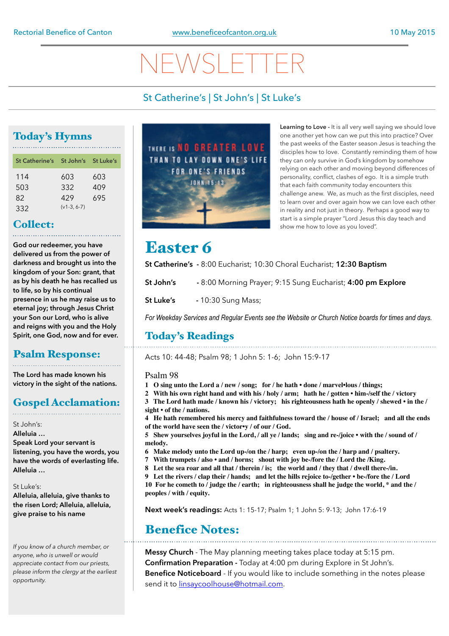# NEWSLETTER

## St Catherine's | St John's | St Luke's

## Today's Hymns

| St Catherine's St John's St Luke's |              |     |
|------------------------------------|--------------|-----|
| 114                                | 603          | 603 |
| 503                                | 332          | 409 |
| 82                                 | 429          | 695 |
| 332                                | $(v1-3.6-7)$ |     |

## Collect:

**God our redeemer, you have delivered us from the power of darkness and brought us into the kingdom of your Son: grant, that as by his death he has recalled us to life, so by his continual presence in us he may raise us to eternal joy; through Jesus Christ your Son our Lord, who is alive and reigns with you and the Holy Spirit, one God, now and for ever.**

### Psalm Response:

**The Lord has made known his victory in the sight of the nations.** 

## Gospel Acclamation:

St John's:

**Alleluia … Speak Lord your servant is listening, you have the words, you have the words of everlasting life. Alleluia …** 

St Luke's:

**Alleluia, alleluia, give thanks to the risen Lord; Alleluia, alleluia, give praise to his name** 

*If you know of a church member, or anyone, who is unwell or would appreciate contact from our priests, please inform the clergy at the earliest opportunity.* 



**Learning to Love -** It is all very well saying we should love one another yet how can we put this into practice? Over the past weeks of the Easter season Jesus is teaching the disciples how to love. Constantly reminding them of how they can only survive in God's kingdom by somehow relying on each other and moving beyond differences of personality, conflict, clashes of ego. It is a simple truth that each faith community today encounters this challenge anew. We, as much as the first disciples, need to learn over and over again how we can love each other in reality and not just in theory. Perhaps a good way to start is a simple prayer "Lord Jesus this day teach and show me how to love as you loved".

## Easter 6

**St Catherine's -** 8:00 Eucharist; 10:30 Choral Eucharist; **12:30 Baptism**

- **St John's** 8:00 Morning Prayer; 9:15 Sung Eucharist; **4:00 pm Explore**
- **St Luke's** 10:30 Sung Mass;

*For Weekday Services and Regular Events see the Website or Church Notice boards for times and days.*

## Today's Readings

Acts 10: 44-48; Psalm 98; 1 John 5: 1-6; John 15:9-17

Psalm 98

- **1 O sing unto the Lord a / new / song; for / he hath done / marvel•lous / things;**
- **2 With his own right hand and with his / holy / arm; hath he / gotten him-/self the / victory 3 The Lord hath made / known his / victory; his righteousness hath he openly / shewed • in the / sight • of the / nations.**
- **4 He hath remembered his mercy and faithfulness toward the / house of / Israel; and all the ends of the world have seen the / victor•y / of our / God.**

**5 Shew yourselves joyful in the Lord, / all ye / lands; sing and re-/joice • with the / sound of / melody.**

- **6 Make melody unto the Lord up-/on the / harp; even up-/on the / harp and / psaltery.**
- **7 With trumpets / also and / horns; shout with joy be-/fore the / Lord the /King.**
- **8 Let the sea roar and all that / therein / is; the world and / they that / dwell there-/in.**
- **9 Let the rivers / clap their / hands; and let the hills rejoice to-/gether be-/fore the / Lord**

**10 For he cometh to / judge the / earth; in righteousness shall he judge the world, \* and the / peoples / with / equity.**

**Next week's readings:** Acts 1: 15-17; Psalm 1; 1 John 5: 9-13; John 17:6-19

## Benefice Notes:

**Messy Church** - The May planning meeting takes place today at 5:15 pm. **Confirmation Preparation -** Today at 4:00 pm during Explore in St John's. **Benefice Noticeboard** - If you would like to include something in the notes please send it to [linsaycoolhouse@hotmail.com](mailto:linsaycoolhouse@hotmail.com).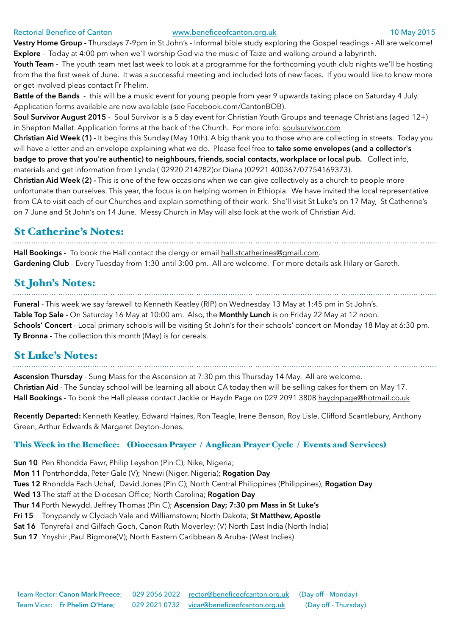### Rectorial Benefice of Canton [www.beneficeofcanton.org.uk](http://www.beneficeofcanton.org.uk) 10 May 2015

**Vestry Home Group -** Thursdays 7-9pm in St John's - Informal bible study exploring the Gospel readings - All are welcome! **Explore** - Today at 4:00 pm when we'll worship God via the music of Taize and walking around a labyrinth.

Youth Team - The youth team met last week to look at a programme for the forthcoming youth club nights we'll be hosting from the the first week of June. It was a successful meeting and included lots of new faces. If you would like to know more or get involved pleas contact Fr Phelim.

**Battle of the Bands** - this will be a music event for young people from year 9 upwards taking place on Saturday 4 July. Application forms available are now available (see Facebook.com/CantonBOB).

**Soul Survivor August 2015** - Soul Survivor is a 5 day event for Christian Youth Groups and teenage Christians (aged 12+) in Shepton Mallet. Application forms at the back of the Church. For more info: [soulsurvivor.com](http://soulsurvivor.com) 

**Christian Aid Week (1) -** It begins this Sunday (May 10th). A big thank you to those who are collecting in streets. Today you will have a letter and an envelope explaining what we do. Please feel free to **take some envelopes (and a collector's badge to prove that you're authentic) to neighbours, friends, social contacts, workplace or local pub.** Collect info,

materials and get information from Lynda ( 02920 214282)or Diana (02921 400367/07754169373).

**Christian Aid Week (2) -** This is one of the few occasions when we can give collectively as a church to people more unfortunate than ourselves. This year, the focus is on helping women in Ethiopia. We have invited the local representative from CA to visit each of our Churches and explain something of their work. She'll visit St Luke's on 17 May, St Catherine's on 7 June and St John's on 14 June. Messy Church in May will also look at the work of Christian Aid.

## St Catherine's Notes:

**Hall Bookings -** To book the Hall contact the clergy or email [hall.stcatherines@gmail.com](mailto:hall.stcatherines@gmail.com). **Gardening Club** - Every Tuesday from 1:30 until 3:00 pm. All are welcome. For more details ask Hilary or Gareth.

## St John's Notes:

**Funeral** - This week we say farewell to Kenneth Keatley (RIP) on Wednesday 13 May at 1:45 pm in St John's. **Table Top Sale -** On Saturday 16 May at 10:00 am. Also, the **Monthly Lunch** is on Friday 22 May at 12 noon. **Schools' Concert** - Local primary schools will be visiting St John's for their schools' concert on Monday 18 May at 6:30 pm. **Ty Bronna -** The collection this month (May) is for cereals.

## St Luke's Notes:

**Ascension Thursday** - Sung Mass for the Ascension at 7:30 pm this Thursday 14 May. All are welcome. **Christian Aid** - The Sunday school will be learning all about CA today then will be selling cakes for them on May 17. **Hall Bookings -** To book the Hall please contact Jackie or Haydn Page on 029 2091 3808 [haydnpage@hotmail.co.uk](mailto:haydnpage@hotmail.co.uk)

**Recently Departed:** Kenneth Keatley, Edward Haines, Ron Teagle, Irene Benson, Roy Lisle, Clifford Scantlebury, Anthony Green, Arthur Edwards & Margaret Deyton-Jones.

### This Week in the Benefice: (Diocesan Prayer / Anglican Prayer Cycle / Events and Services)

**Sun 10** Pen Rhondda Fawr, Philip Leyshon (Pin C); Nike, Nigeria; **Mon 11** Pontrhondda, Peter Gale (V); Nnewi (Niger, Nigeria); **Rogation Day Tues 12** Rhondda Fach Uchaf, David Jones (Pin C); North Central Philippines (Philippines); **Rogation Day Wed 13**The staff at the Diocesan Office; North Carolina; **Rogation Day Thur 14**Porth Newydd, Jeffrey Thomas (Pin C); **Ascension Day; 7:30 pm Mass in St Luke's Fri 15** Tonypandy w Clydach Vale and Williamstown; North Dakota; **St Matthew, Apostle Sat 16** Tonyrefail and Gilfach Goch, Canon Ruth Moverley; (V) North East India (North India) **Sun 17** Ynyshir ,Paul Bigmore(V); North Eastern Caribbean & Aruba- (West Indies)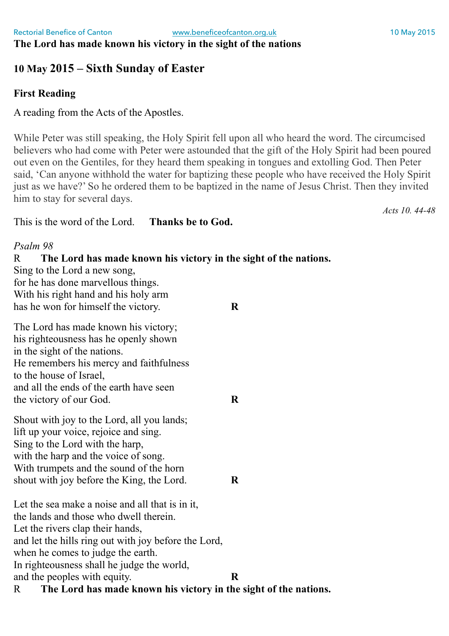## **The Lord has made known his victory in the sight of the nations**

## **10 May 2015 – Sixth Sunday of Easter**

## **First Reading**

A reading from the Acts of the Apostles.

While Peter was still speaking, the Holy Spirit fell upon all who heard the word. The circumcised believers who had come with Peter were astounded that the gift of the Holy Spirit had been poured out even on the Gentiles, for they heard them speaking in tongues and extolling God. Then Peter said, 'Can anyone withhold the water for baptizing these people who have received the Holy Spirit just as we have?' So he ordered them to be baptized in the name of Jesus Christ. Then they invited him to stay for several days.

*Acts 10. 44-48*

This is the word of the Lord. **Thanks be to God.**

### *Psalm 98*

R **The Lord has made known his victory in the sight of the nations.** Sing to the Lord a new song, for he has done marvellous things. With his right hand and his holy arm has he won for himself the victory. **R** The Lord has made known his victory; his righteousness has he openly shown in the sight of the nations. He remembers his mercy and faithfulness to the house of Israel, and all the ends of the earth have seen the victory of our God. **R** Shout with joy to the Lord, all you lands; lift up your voice, rejoice and sing. Sing to the Lord with the harp, with the harp and the voice of song. With trumpets and the sound of the horn shout with joy before the King, the Lord. **R** Let the sea make a noise and all that is in it, the lands and those who dwell therein. Let the rivers clap their hands, and let the hills ring out with joy before the Lord, when he comes to judge the earth. In righteousness shall he judge the world, and the peoples with equity. **R** R **The Lord has made known his victory in the sight of the nations.**